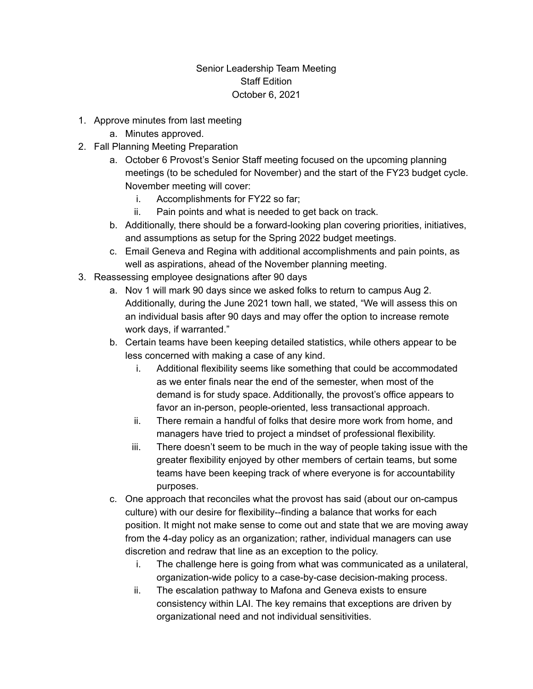## Senior Leadership Team Meeting Staff Edition October 6, 2021

- 1. Approve minutes from last meeting
	- a. Minutes approved.
- 2. Fall Planning Meeting Preparation
	- a. October 6 Provost's Senior Staff meeting focused on the upcoming planning meetings (to be scheduled for November) and the start of the FY23 budget cycle. November meeting will cover:
		- i. Accomplishments for FY22 so far;
		- ii. Pain points and what is needed to get back on track.
	- b. Additionally, there should be a forward-looking plan covering priorities, initiatives, and assumptions as setup for the Spring 2022 budget meetings.
	- c. Email Geneva and Regina with additional accomplishments and pain points, as well as aspirations, ahead of the November planning meeting.
- 3. Reassessing employee designations after 90 days
	- a. Nov 1 will mark 90 days since we asked folks to return to campus Aug 2. Additionally, during the June 2021 town hall, we stated, "We will assess this on an individual basis after 90 days and may offer the option to increase remote work days, if warranted."
	- b. Certain teams have been keeping detailed statistics, while others appear to be less concerned with making a case of any kind.
		- i. Additional flexibility seems like something that could be accommodated as we enter finals near the end of the semester, when most of the demand is for study space. Additionally, the provost's office appears to favor an in-person, people-oriented, less transactional approach.
		- ii. There remain a handful of folks that desire more work from home, and managers have tried to project a mindset of professional flexibility.
		- iii. There doesn't seem to be much in the way of people taking issue with the greater flexibility enjoyed by other members of certain teams, but some teams have been keeping track of where everyone is for accountability purposes.
	- c. One approach that reconciles what the provost has said (about our on-campus culture) with our desire for flexibility--finding a balance that works for each position. It might not make sense to come out and state that we are moving away from the 4-day policy as an organization; rather, individual managers can use discretion and redraw that line as an exception to the policy.
		- i. The challenge here is going from what was communicated as a unilateral, organization-wide policy to a case-by-case decision-making process.
		- ii. The escalation pathway to Mafona and Geneva exists to ensure consistency within LAI. The key remains that exceptions are driven by organizational need and not individual sensitivities.